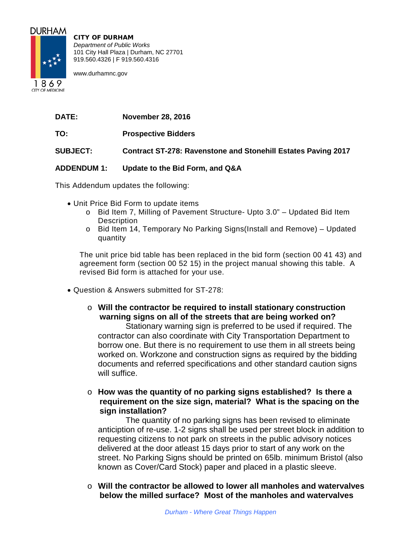

CITY OF DURHAM *Department of Public Works* 101 City Hall Plaza | Durham, NC 27701 919.560.4326 | F 919.560.4316

www.durhamnc.gov

1869 **CITY OF MEDICINE** 

| <b>DATE:</b> | <b>November 28, 2016</b> |  |
|--------------|--------------------------|--|
|              |                          |  |

**TO: Prospective Bidders**

**SUBJECT: Contract ST-278: Ravenstone and Stonehill Estates Paving 2017**

### **ADDENDUM 1: Update to the Bid Form, and Q&A**

This Addendum updates the following:

- Unit Price Bid Form to update items
	- o Bid Item 7, Milling of Pavement Structure- Upto 3.0" Updated Bid Item **Description**
	- o Bid Item 14, Temporary No Parking Signs(Install and Remove) Updated quantity

The unit price bid table has been replaced in the bid form (section 00 41 43) and agreement form (section 00 52 15) in the project manual showing this table. A revised Bid form is attached for your use.

- Question & Answers submitted for ST-278:
	- o **Will the contractor be required to install stationary construction warning signs on all of the streets that are being worked on?**

Stationary warning sign is preferred to be used if required. The contractor can also coordinate with City Transportation Department to borrow one. But there is no requirement to use them in all streets being worked on. Workzone and construction signs as required by the bidding documents and referred specifications and other standard caution signs will suffice.

o **How was the quantity of no parking signs established? Is there a requirement on the size sign, material? What is the spacing on the sign installation?**

The quantity of no parking signs has been revised to eliminate anticiption of re-use. 1-2 signs shall be used per street block in addition to requesting citizens to not park on streets in the public advisory notices delivered at the door atleast 15 days prior to start of any work on the street. No Parking Signs should be printed on 65lb. minimum Bristol (also known as Cover/Card Stock) paper and placed in a plastic sleeve.

o **Will the contractor be allowed to lower all manholes and watervalves below the milled surface? Most of the manholes and watervalves**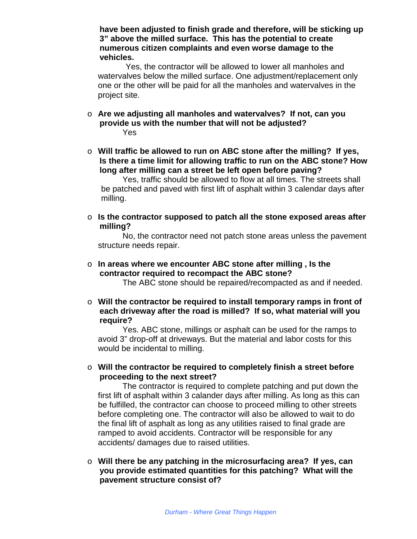**have been adjusted to finish grade and therefore, will be sticking up 3" above the milled surface. This has the potential to create numerous citizen complaints and even worse damage to the vehicles.**

Yes, the contractor will be allowed to lower all manholes and watervalves below the milled surface. One adjustment/replacement only one or the other will be paid for all the manholes and watervalves in the project site.

- o **Are we adjusting all manholes and watervalves? If not, can you provide us with the number that will not be adjusted?** Yes
- o **Will traffic be allowed to run on ABC stone after the milling? If yes, Is there a time limit for allowing traffic to run on the ABC stone? How long after milling can a street be left open before paving?**

Yes, traffic should be allowed to flow at all times. The streets shall be patched and paved with first lift of asphalt within 3 calendar days after milling.

o **Is the contractor supposed to patch all the stone exposed areas after milling?**

No, the contractor need not patch stone areas unless the pavement structure needs repair.

o **In areas where we encounter ABC stone after milling , Is the contractor required to recompact the ABC stone?**

The ABC stone should be repaired/recompacted as and if needed.

o **Will the contractor be required to install temporary ramps in front of each driveway after the road is milled? If so, what material will you require?**

Yes. ABC stone, millings or asphalt can be used for the ramps to avoid 3" drop-off at driveways. But the material and labor costs for this would be incidental to milling.

o **Will the contractor be required to completely finish a street before proceeding to the next street?**

The contractor is required to complete patching and put down the first lift of asphalt within 3 calander days after milling. As long as this can be fulfilled, the contractor can choose to proceed milling to other streets before completing one. The contractor will also be allowed to wait to do the final lift of asphalt as long as any utilities raised to final grade are ramped to avoid accidents. Contractor will be responsible for any accidents/ damages due to raised utilities.

o **Will there be any patching in the microsurfacing area? If yes, can you provide estimated quantities for this patching? What will the pavement structure consist of?**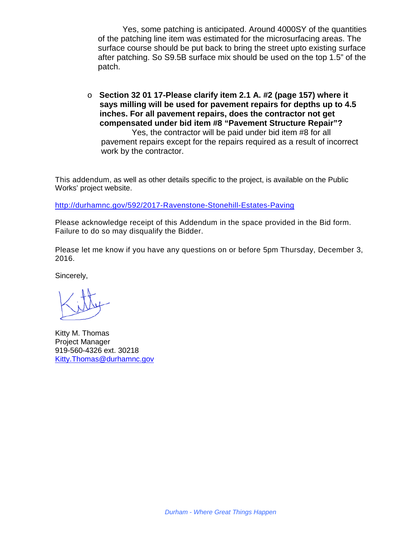Yes, some patching is anticipated. Around 4000SY of the quantities of the patching line item was estimated for the microsurfacing areas. The surface course should be put back to bring the street upto existing surface after patching. So S9.5B surface mix should be used on the top 1.5" of the patch.

o **Section 32 01 17-Please clarify item 2.1 A. #2 (page 157) where it says milling will be used for pavement repairs for depths up to 4.5 inches. For all pavement repairs, does the contractor not get compensated under bid item #8 "Pavement Structure Repair"?** Yes, the contractor will be paid under bid item #8 for all pavement repairs except for the repairs required as a result of incorrect work by the contractor.

This addendum, as well as other details specific to the project, is available on the Public Works' project website.

<http://durhamnc.gov/592/2017-Ravenstone-Stonehill-Estates-Paving>

Please acknowledge receipt of this Addendum in the space provided in the Bid form. Failure to do so may disqualify the Bidder.

Please let me know if you have any questions on or before 5pm Thursday, December 3, 2016.

Sincerely,

Kitty M. Thomas Project Manager 919-560-4326 ext. 30218 [Kitty.Thomas@durhamnc.gov](mailto:Kitty.Thomas@durhamnc.gov)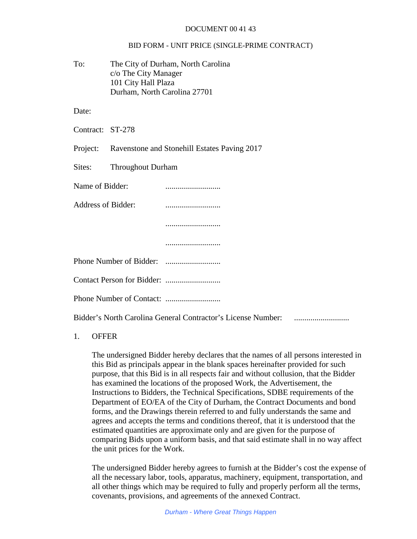#### DOCUMENT 00 41 43

#### BID FORM - UNIT PRICE (SINGLE-PRIME CONTRACT)

To: The City of Durham, North Carolina c/o The City Manager 101 City Hall Plaza Durham, North Carolina 27701

Date:

Contract: ST-278

Project: Ravenstone and Stonehill Estates Paving 2017

Sites: Throughout Durham

Name of Bidder: ...........................

Address of Bidder: ...........................

...........................

...........................

Phone Number of Bidder: ...........................

Contact Person for Bidder: ...........................

Phone Number of Contact: ...........................

Bidder's North Carolina General Contractor's License Number: ...........................

### 1. OFFER

The undersigned Bidder hereby declares that the names of all persons interested in this Bid as principals appear in the blank spaces hereinafter provided for such purpose, that this Bid is in all respects fair and without collusion, that the Bidder has examined the locations of the proposed Work, the Advertisement, the Instructions to Bidders, the Technical Specifications, SDBE requirements of the Department of EO/EA of the City of Durham, the Contract Documents and bond forms, and the Drawings therein referred to and fully understands the same and agrees and accepts the terms and conditions thereof, that it is understood that the estimated quantities are approximate only and are given for the purpose of comparing Bids upon a uniform basis, and that said estimate shall in no way affect the unit prices for the Work.

The undersigned Bidder hereby agrees to furnish at the Bidder's cost the expense of all the necessary labor, tools, apparatus, machinery, equipment, transportation, and all other things which may be required to fully and properly perform all the terms, covenants, provisions, and agreements of the annexed Contract.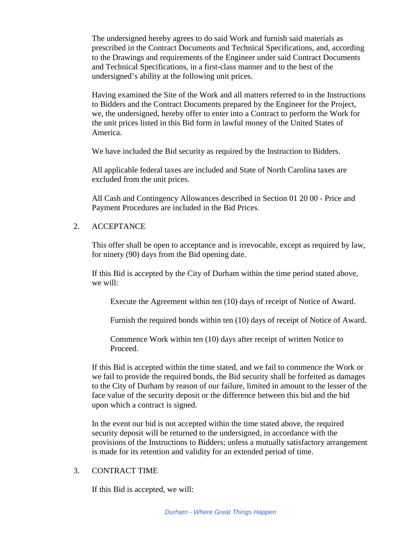The undersigned hereby agrees to do said Work and furnish said materials as prescribed in the Contract Documents and Technical Specifications, and, according to the Drawings and requirements of the Engineer under said Contract Documents and Technical Specifications, in a first-class manner and to the best of the undersigned's ability at the following unit prices.

Having examined the Site of the Work and all matters referred to in the Instructions to Bidders and the Contract Documents prepared by the Engineer for the Project, we, the undersigned, hereby offer to enter into a Contract to perform the Work for the unit prices listed in this Bid form in lawful money of the United States of America.

We have included the Bid security as required by the Instruction to Bidders.

All applicable federal taxes are included and State of North Carolina taxes are excluded from the unit prices.

All Cash and Contingency Allowances described in Section 01 20 00 - Price and Payment Procedures are included in the Bid Prices.

### 2. ACCEPTANCE

This offer shall be open to acceptance and is irrevocable, except as required by law, for ninety (90) days from the Bid opening date.

If this Bid is accepted by the City of Durham within the time period stated above, we will:

Execute the Agreement within ten (10) days of receipt of Notice of Award.

Furnish the required bonds within ten (10) days of receipt of Notice of Award.

Commence Work within ten (10) days after receipt of written Notice to Proceed.

If this Bid is accepted within the time stated, and we fail to commence the Work or we fail to provide the required bonds, the Bid security shall be forfeited as damages to the City of Durham by reason of our failure, limited in amount to the lesser of the face value of the security deposit or the difference between this bid and the bid upon which a contract is signed.

In the event our bid is not accepted within the time stated above, the required security deposit will be returned to the undersigned, in accordance with the provisions of the Instructions to Bidders; unless a mutually satisfactory arrangement is made for its retention and validity for an extended period of time.

#### 3. CONTRACT TIME

If this Bid is accepted, we will: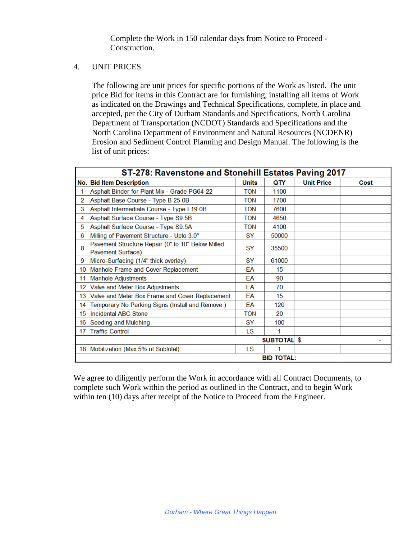Complete the Work in 150 calendar days from Notice to Proceed - Construction.

### 4. UNIT PRICES

The following are unit prices for specific portions of the Work as listed. The unit price Bid for items in this Contract are for furnishing, installing all items of Work as indicated on the Drawings and Technical Specifications, complete, in place and accepted, per the City of Durham Standards and Specifications, North Carolina Department of Transportation (NCDOT) Standards and Specifications and the North Carolina Department of Environment and Natural Resources (NCDENR) Erosion and Sediment Control Planning and Design Manual. The following is the list of unit prices:

| ST-278: Ravenstone and Stonehill Estates Paving 2017 |                                                                        |              |                    |                   |      |
|------------------------------------------------------|------------------------------------------------------------------------|--------------|--------------------|-------------------|------|
|                                                      | No. Bid Item Description                                               | <b>Units</b> | QTY                | <b>Unit Price</b> | Cost |
| 1                                                    | Asphalt Binder for Plant Mix - Grade PG64-22                           | <b>TON</b>   | 1100               |                   |      |
| 2                                                    | Asphalt Base Course - Type B 25.0B                                     | <b>TON</b>   | 1700               |                   |      |
| 3                                                    | Asphalt Intermediate Course - Type I 19.0B                             | <b>TON</b>   | 7600               |                   |      |
| 4                                                    | Asphalt Surface Course - Type S9.5B                                    | <b>TON</b>   | 4650               |                   |      |
| 5                                                    | Asphalt Surface Course - Type S9.5A                                    | <b>TON</b>   | 4100               |                   |      |
| 6                                                    | Milling of Pavement Structure - Upto 3.0"                              | SY           | 50000              |                   |      |
| 8                                                    | Pavement Structure Repair (0" to 10" Below Milled<br>Pavement Surface) | <b>SY</b>    | 35500              |                   |      |
| 9                                                    | Micro-Surfacing (1/4" thick overlay)                                   | <b>SY</b>    | 61000              |                   |      |
| 10                                                   | Manhole Frame and Cover Replacement                                    | EA           | 15                 |                   |      |
| 11                                                   | <b>Manhole Adjustments</b>                                             | FΑ           | 90                 |                   |      |
| 12                                                   | Valve and Meter Box Adjustments                                        | EA           | 70                 |                   |      |
| 13                                                   | Valve and Meter Box Frame and Cover Replacement                        | FA           | 15                 |                   |      |
| 14                                                   | Temporary No Parking Signs (Install and Remove)                        | ΕA           | 120                |                   |      |
| 15                                                   | <b>Incidental ABC Stone</b>                                            | <b>TON</b>   | 20                 |                   |      |
| 16                                                   | <b>Seeding and Mulching</b>                                            | <b>SY</b>    | 100                |                   |      |
| 17                                                   | <b>Traffic Control</b>                                                 | LS           | 1                  |                   |      |
|                                                      |                                                                        |              | <b>SUBTOTAL \$</b> |                   |      |
|                                                      | 18   Mobilization (Max 5% of Subtotal)                                 | LS           | 1                  |                   |      |
|                                                      | <b>BID TOTAL:</b>                                                      |              |                    |                   |      |

We agree to diligently perform the Work in accordance with all Contract Documents, to complete such Work within the period as outlined in the Contract, and to begin Work within ten (10) days after receipt of the Notice to Proceed from the Engineer.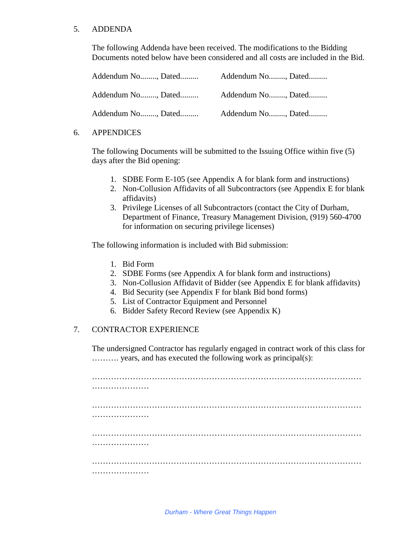### 5. ADDENDA

The following Addenda have been received. The modifications to the Bidding Documents noted below have been considered and all costs are included in the Bid.

| Addendum No, Dated | Addendum No, Dated |
|--------------------|--------------------|
| Addendum No, Dated | Addendum No, Dated |
| Addendum No, Dated | Addendum No, Dated |

### 6. APPENDICES

The following Documents will be submitted to the Issuing Office within five (5) days after the Bid opening:

- 1. SDBE Form E-105 (see Appendix A for blank form and instructions)
- 2. Non-Collusion Affidavits of all Subcontractors (see Appendix E for blank affidavits)
- 3. Privilege Licenses of all Subcontractors (contact the City of Durham, Department of Finance, Treasury Management Division, (919) 560-4700 for information on securing privilege licenses)

The following information is included with Bid submission:

- 1. Bid Form
- 2. SDBE Forms (see Appendix A for blank form and instructions)
- 3. Non-Collusion Affidavit of Bidder (see Appendix E for blank affidavits)
- 4. Bid Security (see Appendix F for blank Bid bond forms)
- 5. List of Contractor Equipment and Personnel
- 6. Bidder Safety Record Review (see Appendix K)

## 7. CONTRACTOR EXPERIENCE

The undersigned Contractor has regularly engaged in contract work of this class for ………. years, and has executed the following work as principal(s):

……………………………………………………………………………………… …………………… ……………………………………………………………………………………… ……………………… ……………………………………………………………………………………… …………………… ……………………………………………………………………………………… …………………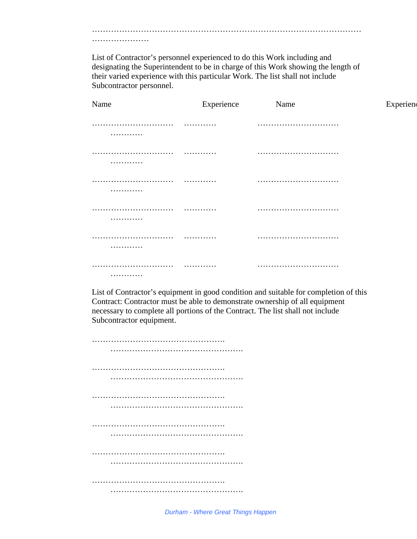……………………………………………………………………………………… …………………

List of Contractor's personnel experienced to do this Work including and designating the Superintendent to be in charge of this Work showing the length of their varied experience with this particular Work. The list shall not include Subcontractor personnel.

| Name              | Experience | Name | Experien |
|-------------------|------------|------|----------|
| .<br>.            | .          |      |          |
| .<br>.            | .          |      |          |
| .<br>.            | .          |      |          |
| . <b>.</b><br>.   | . <b>.</b> |      |          |
| .<br>.            | .          |      |          |
| . <b>.</b> .<br>. | .          |      |          |

List of Contractor's equipment in good condition and suitable for completion of this Contract: Contractor must be able to demonstrate ownership of all equipment necessary to complete all portions of the Contract. The list shall not include Subcontractor equipment.

…………………………………………. …………………………………………. …………………………………………………………… ……………………………………………………… …………………………………………. …………………………………………………………… …………………………………………. …………………………………………. ……………………………………………………… …………………………………………. ……………………………………………………… ………………………………………….

*Durham - Where Great Things Happen*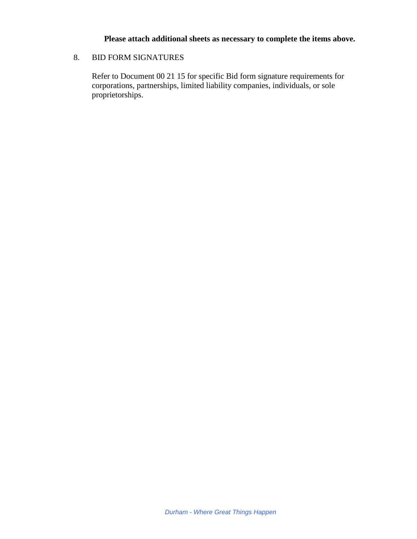## **Please attach additional sheets as necessary to complete the items above.**

## 8. BID FORM SIGNATURES

Refer to Document 00 21 15 for specific Bid form signature requirements for corporations, partnerships, limited liability companies, individuals, or sole proprietorships.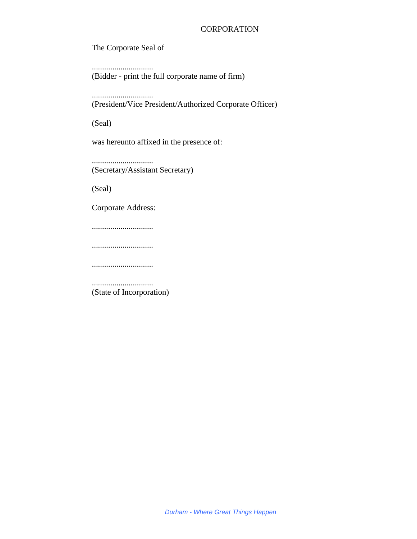### **CORPORATION**

The Corporate Seal of

.............................. (Bidder - print the full corporate name of firm)

..............................

(President/Vice President/Authorized Corporate Officer)

(Seal)

was hereunto affixed in the presence of:

.............................. (Secretary/Assistant Secretary)

(Seal)

Corporate Address:

..............................

..............................

..............................

.............................. (State of Incorporation)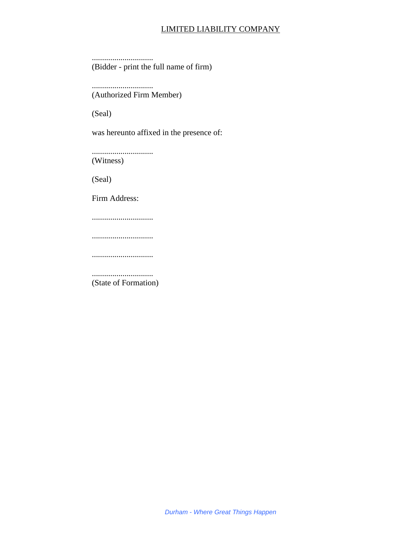# LIMITED LIABILITY COMPANY

.............................. (Bidder - print the full name of firm)

.............................. (Authorized Firm Member)

(Seal)

was hereunto affixed in the presence of:

.............................. (Witness)

(Seal)

Firm Address:

..............................

..............................

..............................

.............................. (State of Formation)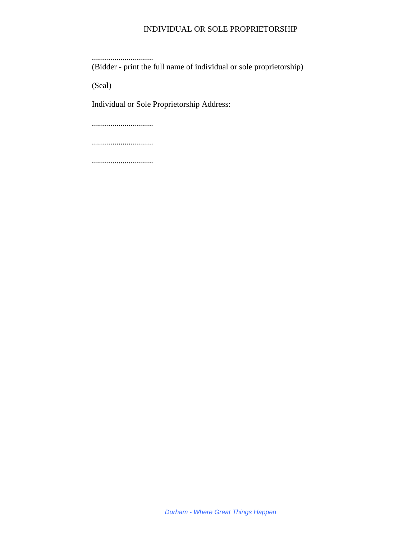# INDIVIDUAL OR SOLE PROPRIETORSHIP

..............................

(Bidder - print the full name of individual or sole proprietorship)

(Seal)

Individual or Sole Proprietorship Address:

..............................

..............................

..............................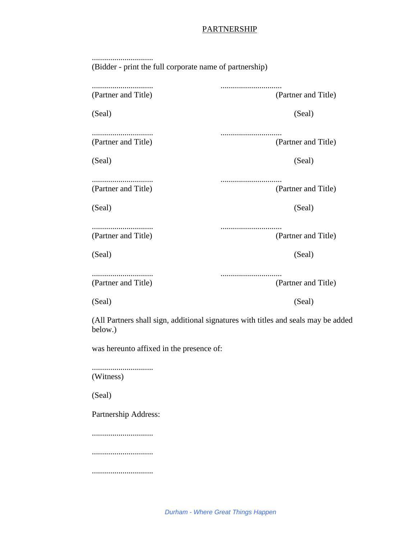## **PARTNERSHIP**

| (Bidder - print the full corporate name of partnership) |                                                                                    |  |
|---------------------------------------------------------|------------------------------------------------------------------------------------|--|
| (Partner and Title)                                     | (Partner and Title)                                                                |  |
| (Seal)                                                  | (Seal)                                                                             |  |
| (Partner and Title)                                     | (Partner and Title)                                                                |  |
| (Seal)                                                  | (Seal)                                                                             |  |
| (Partner and Title)                                     | (Partner and Title)                                                                |  |
| (Seal)                                                  | (Seal)                                                                             |  |
| <br>(Partner and Title)                                 | (Partner and Title)                                                                |  |
| (Seal)                                                  | (Seal)                                                                             |  |
| (Partner and Title)                                     | (Partner and Title)                                                                |  |
| (Seal)                                                  | (Seal)                                                                             |  |
| below.)                                                 | (All Partners shall sign, additional signatures with titles and seals may be added |  |

was hereunto affixed in the presence of:

.............................. (Witness)

(Seal)

Partnership Address:

..............................

..............................

..............................